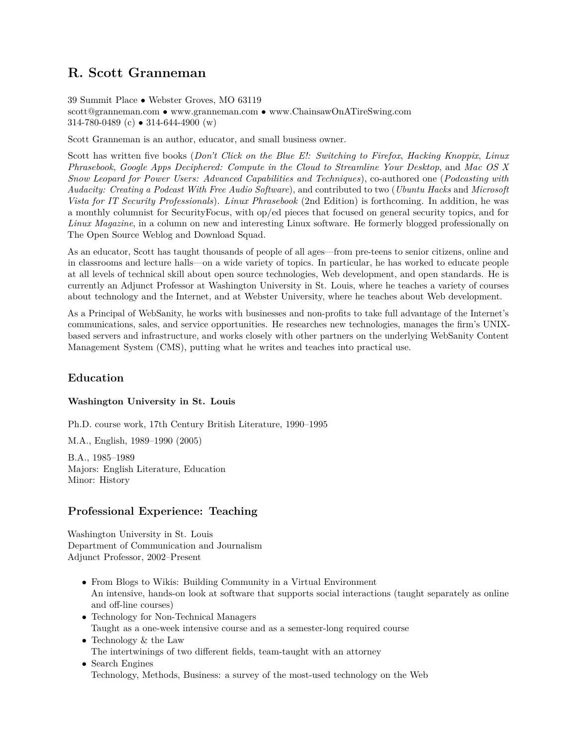# **R. Scott Granneman**

39 Summit Place • Webster Groves, MO 63119

scott@granneman.com • www.granneman.com • www.ChainsawOnATireSwing.com 314-780-0489 (c) • 314-644-4900 (w)

Scott Granneman is an author, educator, and small business owner.

Scott has written five books (*Don't Click on the Blue E!: Switching to Firefox*, *Hacking Knoppix*, *Linux Phrasebook*, *Google Apps Deciphered: Compute in the Cloud to Streamline Your Desktop*, and *Mac OS X Snow Leopard for Power Users: Advanced Capabilities and Techniques*), co-authored one (*Podcasting with Audacity: Creating a Podcast With Free Audio Software*), and contributed to two (*Ubuntu Hacks* and *Microsoft Vista for IT Security Professionals*). *Linux Phrasebook* (2nd Edition) is forthcoming. In addition, he was a monthly columnist for SecurityFocus, with op/ed pieces that focused on general security topics, and for *Linux Magazine*, in a column on new and interesting Linux software. He formerly blogged professionally on The Open Source Weblog and Download Squad.

As an educator, Scott has taught thousands of people of all ages—from pre-teens to senior citizens, online and in classrooms and lecture halls—on a wide variety of topics. In particular, he has worked to educate people at all levels of technical skill about open source technologies, Web development, and open standards. He is currently an Adjunct Professor at Washington University in St. Louis, where he teaches a variety of courses about technology and the Internet, and at Webster University, where he teaches about Web development.

As a Principal of WebSanity, he works with businesses and non-profits to take full advantage of the Internet's communications, sales, and service opportunities. He researches new technologies, manages the firm's UNIXbased servers and infrastructure, and works closely with other partners on the underlying WebSanity Content Management System (CMS), putting what he writes and teaches into practical use.

# **Education**

### **Washington University in St. Louis**

Ph.D. course work, 17th Century British Literature, 1990–1995

M.A., English, 1989–1990 (2005)

B.A., 1985–1989 Majors: English Literature, Education Minor: History

# **Professional Experience: Teaching**

Washington University in St. Louis Department of Communication and Journalism Adjunct Professor, 2002–Present

- From Blogs to Wikis: Building Community in a Virtual Environment An intensive, hands-on look at software that supports social interactions (taught separately as online and off-line courses)
- Technology for Non-Technical Managers Taught as a one-week intensive course and as a semester-long required course
- Technology & the Law The intertwinings of two different fields, team-taught with an attorney
- Search Engines Technology, Methods, Business: a survey of the most-used technology on the Web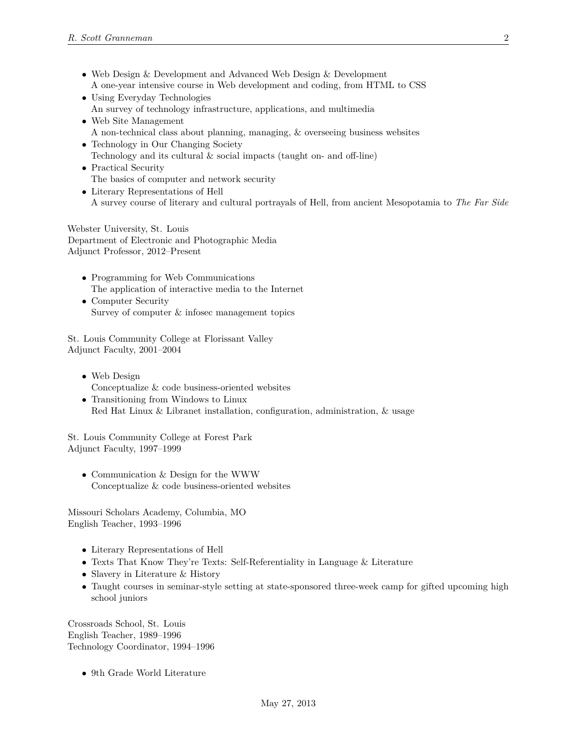- Web Design & Development and Advanced Web Design & Development A one-year intensive course in Web development and coding, from HTML to CSS
- Using Everyday Technologies An survey of technology infrastructure, applications, and multimedia
- Web Site Management A non-technical class about planning, managing, & overseeing business websites
- Technology in Our Changing Society
	- Technology and its cultural & social impacts (taught on- and off-line)
- Practical Security The basics of computer and network security
- Literary Representations of Hell A survey course of literary and cultural portrayals of Hell, from ancient Mesopotamia to *The Far Side*

Webster University, St. Louis Department of Electronic and Photographic Media Adjunct Professor, 2012–Present

- Programming for Web Communications The application of interactive media to the Internet
- Computer Security Survey of computer & infosec management topics

St. Louis Community College at Florissant Valley Adjunct Faculty, 2001–2004

- Web Design Conceptualize & code business-oriented websites
- Transitioning from Windows to Linux Red Hat Linux & Libranet installation, configuration, administration, & usage

St. Louis Community College at Forest Park Adjunct Faculty, 1997–1999

• Communication & Design for the WWW Conceptualize & code business-oriented websites

Missouri Scholars Academy, Columbia, MO English Teacher, 1993–1996

- Literary Representations of Hell
- Texts That Know They're Texts: Self-Referentiality in Language & Literature
- Slavery in Literature & History
- Taught courses in seminar-style setting at state-sponsored three-week camp for gifted upcoming high school juniors

Crossroads School, St. Louis English Teacher, 1989–1996 Technology Coordinator, 1994–1996

• 9th Grade World Literature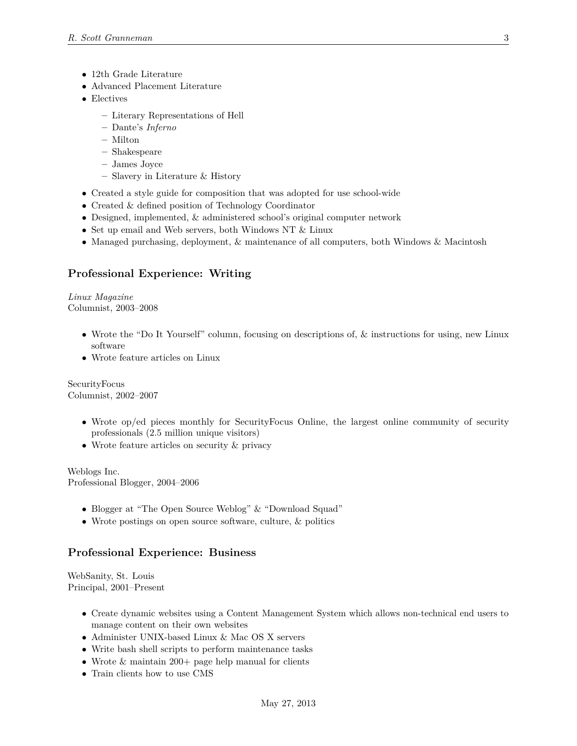- 12th Grade Literature
- Advanced Placement Literature
- Electives
	- **–** Literary Representations of Hell
	- **–** Dante's *Inferno*
	- **–** Milton
	- **–** Shakespeare
	- **–** James Joyce
	- **–** Slavery in Literature & History
- Created a style guide for composition that was adopted for use school-wide
- Created & defined position of Technology Coordinator
- Designed, implemented, & administered school's original computer network
- Set up email and Web servers, both Windows NT & Linux
- Managed purchasing, deployment, & maintenance of all computers, both Windows & Macintosh

# **Professional Experience: Writing**

*Linux Magazine* Columnist, 2003–2008

- Wrote the "Do It Yourself" column, focusing on descriptions of, & instructions for using, new Linux software
- Wrote feature articles on Linux

SecurityFocus Columnist, 2002–2007

- Wrote op/ed pieces monthly for SecurityFocus Online, the largest online community of security professionals (2.5 million unique visitors)
- Wrote feature articles on security & privacy

Weblogs Inc. Professional Blogger, 2004–2006

- Blogger at "The Open Source Weblog" & "Download Squad"
- Wrote postings on open source software, culture, & politics

# **Professional Experience: Business**

WebSanity, St. Louis Principal, 2001–Present

- Create dynamic websites using a Content Management System which allows non-technical end users to manage content on their own websites
- Administer UNIX-based Linux & Mac OS X servers
- Write bash shell scripts to perform maintenance tasks
- Wrote & maintain 200+ page help manual for clients
- Train clients how to use CMS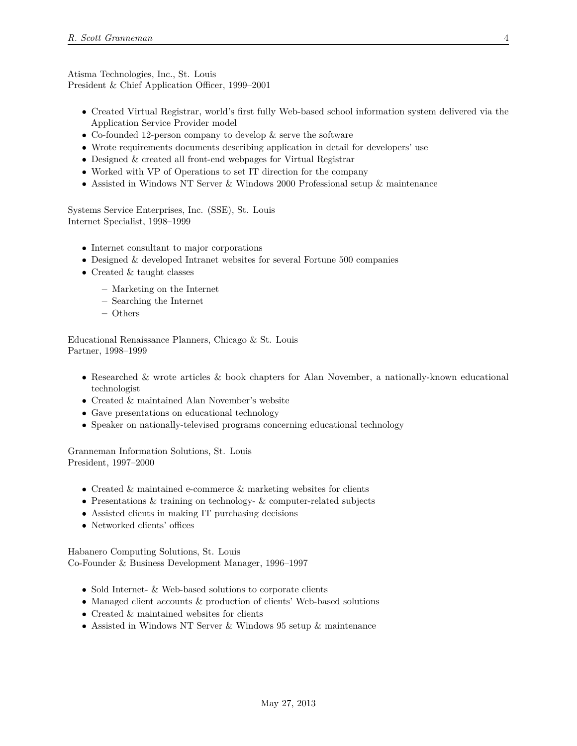Atisma Technologies, Inc., St. Louis President & Chief Application Officer, 1999–2001

- Created Virtual Registrar, world's first fully Web-based school information system delivered via the Application Service Provider model
- Co-founded 12-person company to develop & serve the software
- Wrote requirements documents describing application in detail for developers' use
- Designed & created all front-end webpages for Virtual Registrar
- Worked with VP of Operations to set IT direction for the company
- Assisted in Windows NT Server & Windows 2000 Professional setup & maintenance

Systems Service Enterprises, Inc. (SSE), St. Louis Internet Specialist, 1998–1999

- Internet consultant to major corporations
- Designed & developed Intranet websites for several Fortune 500 companies
- Created & taught classes
	- **–** Marketing on the Internet
	- **–** Searching the Internet
	- **–** Others

Educational Renaissance Planners, Chicago & St. Louis Partner, 1998–1999

- Researched & wrote articles & book chapters for Alan November, a nationally-known educational technologist
- Created & maintained Alan November's website
- Gave presentations on educational technology
- Speaker on nationally-televised programs concerning educational technology

Granneman Information Solutions, St. Louis President, 1997–2000

- Created & maintained e-commerce & marketing websites for clients
- Presentations & training on technology- & computer-related subjects
- Assisted clients in making IT purchasing decisions
- Networked clients' offices

Habanero Computing Solutions, St. Louis Co-Founder & Business Development Manager, 1996–1997

- Sold Internet- & Web-based solutions to corporate clients
- Managed client accounts & production of clients' Web-based solutions
- Created & maintained websites for clients
- Assisted in Windows NT Server & Windows 95 setup & maintenance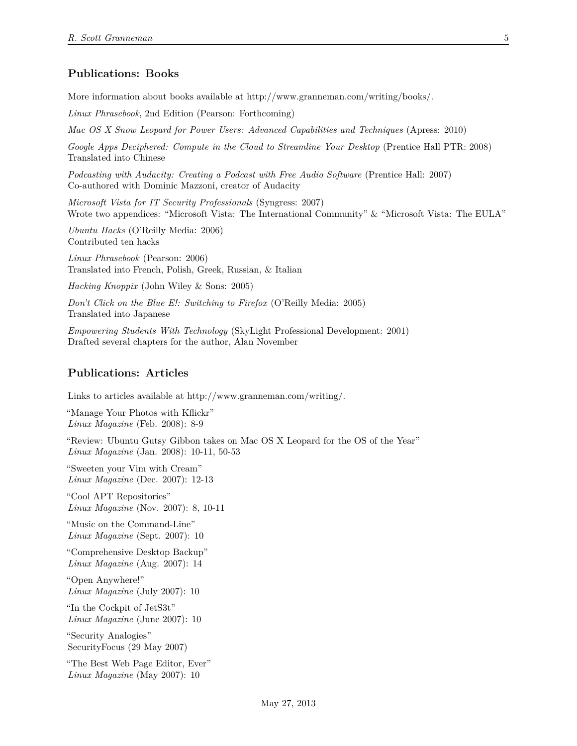### **Publications: Books**

More information about books available at http://www.granneman.com/writing/books/.

*Linux Phrasebook*, 2nd Edition (Pearson: Forthcoming)

*Mac OS X Snow Leopard for Power Users: Advanced Capabilities and Techniques* (Apress: 2010)

*Google Apps Deciphered: Compute in the Cloud to Streamline Your Desktop* (Prentice Hall PTR: 2008) Translated into Chinese

*Podcasting with Audacity: Creating a Podcast with Free Audio Software* (Prentice Hall: 2007) Co-authored with Dominic Mazzoni, creator of Audacity

*Microsoft Vista for IT Security Professionals* (Syngress: 2007) Wrote two appendices: "Microsoft Vista: The International Community" & "Microsoft Vista: The EULA"

*Ubuntu Hacks* (O'Reilly Media: 2006) Contributed ten hacks

*Linux Phrasebook* (Pearson: 2006) Translated into French, Polish, Greek, Russian, & Italian

*Hacking Knoppix* (John Wiley & Sons: 2005)

*Don't Click on the Blue E!: Switching to Firefox* (O'Reilly Media: 2005) Translated into Japanese

*Empowering Students With Technology* (SkyLight Professional Development: 2001) Drafted several chapters for the author, Alan November

#### **Publications: Articles**

Links to articles available at http://www.granneman.com/writing/.

"Manage Your Photos with Kflickr" *Linux Magazine* (Feb. 2008): 8-9

"Review: Ubuntu Gutsy Gibbon takes on Mac OS X Leopard for the OS of the Year" *Linux Magazine* (Jan. 2008): 10-11, 50-53

"Sweeten your Vim with Cream" *Linux Magazine* (Dec. 2007): 12-13

"Cool APT Repositories" *Linux Magazine* (Nov. 2007): 8, 10-11

"Music on the Command-Line" *Linux Magazine* (Sept. 2007): 10

"Comprehensive Desktop Backup" *Linux Magazine* (Aug. 2007): 14

"Open Anywhere!" *Linux Magazine* (July 2007): 10

"In the Cockpit of JetS3t" *Linux Magazine* (June 2007): 10

"Security Analogies" SecurityFocus (29 May 2007)

"The Best Web Page Editor, Ever" *Linux Magazine* (May 2007): 10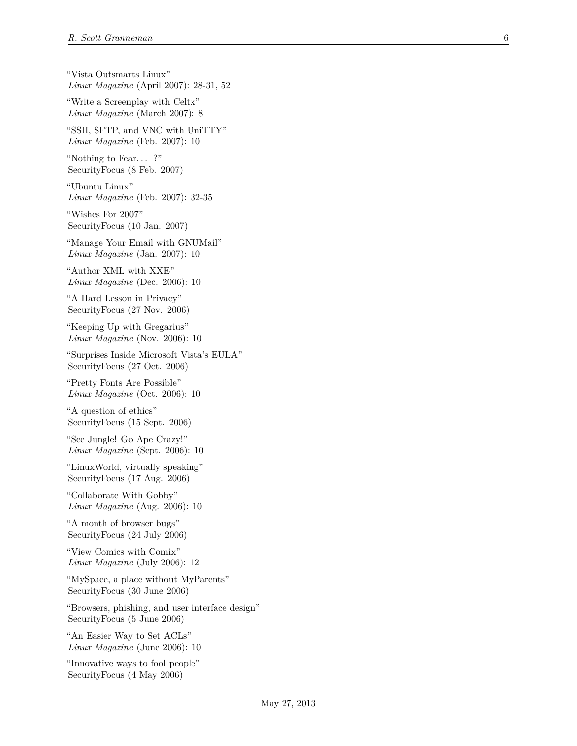"Vista Outsmarts Linux" *Linux Magazine* (April 2007): 28-31, 52

"Write a Screenplay with Celtx" *Linux Magazine* (March 2007): 8

"SSH, SFTP, and VNC with UniTTY" *Linux Magazine* (Feb. 2007): 10

"Nothing to Fear. . . ?" SecurityFocus (8 Feb. 2007)

"Ubuntu Linux" *Linux Magazine* (Feb. 2007): 32-35

"Wishes For 2007" SecurityFocus (10 Jan. 2007)

"Manage Your Email with GNUMail" *Linux Magazine* (Jan. 2007): 10

"Author XML with XXE" *Linux Magazine* (Dec. 2006): 10

"A Hard Lesson in Privacy" SecurityFocus (27 Nov. 2006)

"Keeping Up with Gregarius" *Linux Magazine* (Nov. 2006): 10

"Surprises Inside Microsoft Vista's EULA" SecurityFocus (27 Oct. 2006)

"Pretty Fonts Are Possible" *Linux Magazine* (Oct. 2006): 10

"A question of ethics" SecurityFocus (15 Sept. 2006)

"See Jungle! Go Ape Crazy!" *Linux Magazine* (Sept. 2006): 10

"LinuxWorld, virtually speaking" SecurityFocus (17 Aug. 2006)

"Collaborate With Gobby" *Linux Magazine* (Aug. 2006): 10

"A month of browser bugs" SecurityFocus (24 July 2006)

"View Comics with Comix" *Linux Magazine* (July 2006): 12

"MySpace, a place without MyParents" SecurityFocus (30 June 2006)

"Browsers, phishing, and user interface design" SecurityFocus (5 June 2006)

"An Easier Way to Set ACLs" *Linux Magazine* (June 2006): 10

"Innovative ways to fool people" SecurityFocus (4 May 2006)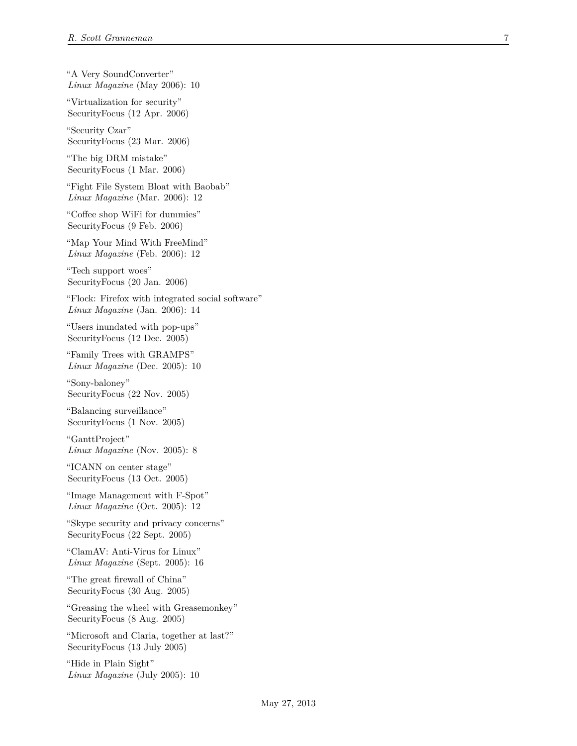"A Very SoundConverter" *Linux Magazine* (May 2006): 10

"Virtualization for security" SecurityFocus (12 Apr. 2006)

"Security Czar" SecurityFocus (23 Mar. 2006)

"The big DRM mistake" SecurityFocus (1 Mar. 2006)

"Fight File System Bloat with Baobab" *Linux Magazine* (Mar. 2006): 12

"Coffee shop WiFi for dummies" SecurityFocus (9 Feb. 2006)

"Map Your Mind With FreeMind" *Linux Magazine* (Feb. 2006): 12

"Tech support woes" SecurityFocus (20 Jan. 2006)

"Flock: Firefox with integrated social software" *Linux Magazine* (Jan. 2006): 14

"Users inundated with pop-ups" SecurityFocus (12 Dec. 2005)

"Family Trees with GRAMPS" *Linux Magazine* (Dec. 2005): 10

"Sony-baloney" SecurityFocus (22 Nov. 2005)

"Balancing surveillance" SecurityFocus (1 Nov. 2005)

"GanttProject" *Linux Magazine* (Nov. 2005): 8

"ICANN on center stage" SecurityFocus (13 Oct. 2005)

"Image Management with F-Spot" *Linux Magazine* (Oct. 2005): 12

"Skype security and privacy concerns" SecurityFocus (22 Sept. 2005)

"ClamAV: Anti-Virus for Linux" *Linux Magazine* (Sept. 2005): 16

"The great firewall of China" SecurityFocus (30 Aug. 2005)

"Greasing the wheel with Greasemonkey" SecurityFocus (8 Aug. 2005)

"Microsoft and Claria, together at last?" SecurityFocus (13 July 2005)

"Hide in Plain Sight" *Linux Magazine* (July 2005): 10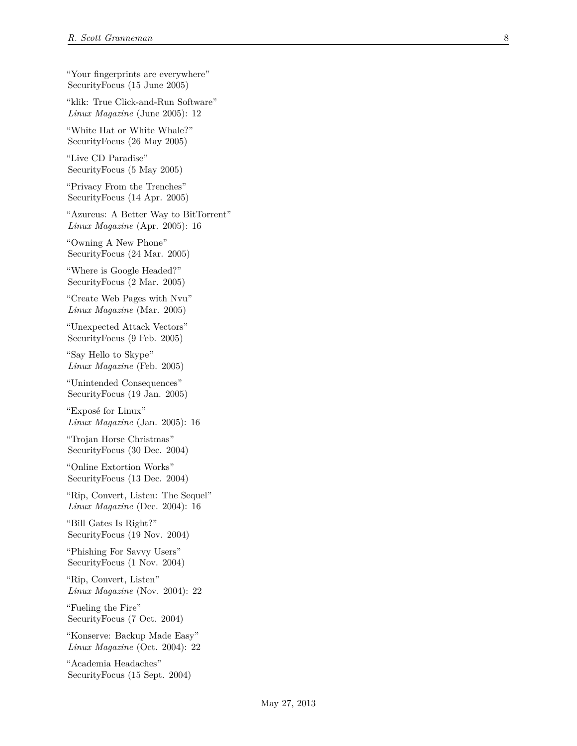"Your fingerprints are everywhere" SecurityFocus (15 June 2005)

"klik: True Click-and-Run Software" *Linux Magazine* (June 2005): 12

"White Hat or White Whale?" SecurityFocus (26 May 2005)

"Live CD Paradise" SecurityFocus (5 May 2005)

"Privacy From the Trenches" SecurityFocus (14 Apr. 2005)

"Azureus: A Better Way to BitTorrent" *Linux Magazine* (Apr. 2005): 16

"Owning A New Phone" SecurityFocus (24 Mar. 2005)

"Where is Google Headed?" SecurityFocus (2 Mar. 2005)

"Create Web Pages with Nvu" *Linux Magazine* (Mar. 2005)

"Unexpected Attack Vectors" SecurityFocus (9 Feb. 2005)

"Say Hello to Skype" *Linux Magazine* (Feb. 2005)

"Unintended Consequences" SecurityFocus (19 Jan. 2005)

"Exposé for Linux" *Linux Magazine* (Jan. 2005): 16

"Trojan Horse Christmas" SecurityFocus (30 Dec. 2004)

"Online Extortion Works" SecurityFocus (13 Dec. 2004)

"Rip, Convert, Listen: The Sequel" *Linux Magazine* (Dec. 2004): 16

"Bill Gates Is Right?" SecurityFocus (19 Nov. 2004)

"Phishing For Savvy Users" SecurityFocus (1 Nov. 2004)

"Rip, Convert, Listen" *Linux Magazine* (Nov. 2004): 22

"Fueling the Fire" SecurityFocus (7 Oct. 2004)

"Konserve: Backup Made Easy" *Linux Magazine* (Oct. 2004): 22

"Academia Headaches" SecurityFocus (15 Sept. 2004)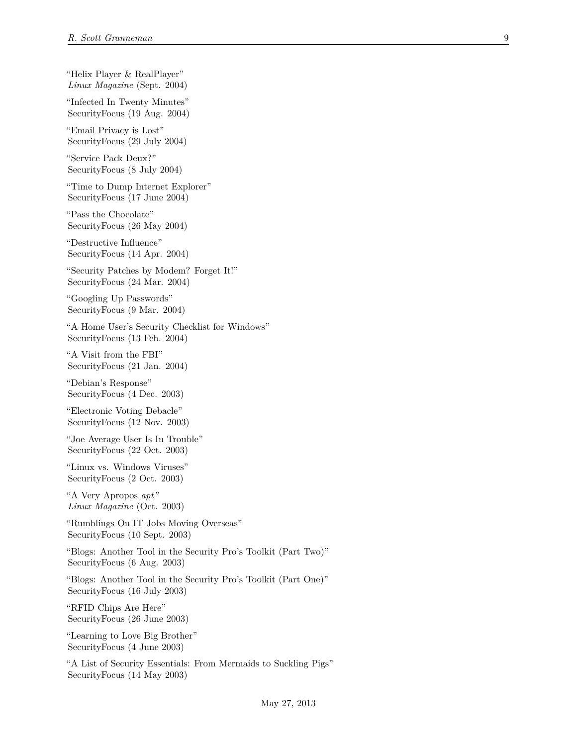"Helix Player & RealPlayer" *Linux Magazine* (Sept. 2004) "Infected In Twenty Minutes" SecurityFocus (19 Aug. 2004) "Email Privacy is Lost" SecurityFocus (29 July 2004) "Service Pack Deux?" SecurityFocus (8 July 2004) "Time to Dump Internet Explorer" SecurityFocus (17 June 2004) "Pass the Chocolate" SecurityFocus (26 May 2004) "Destructive Influence" SecurityFocus (14 Apr. 2004) "Security Patches by Modem? Forget It!" SecurityFocus (24 Mar. 2004) "Googling Up Passwords" SecurityFocus (9 Mar. 2004) "A Home User's Security Checklist for Windows" SecurityFocus (13 Feb. 2004) "A Visit from the FBI" SecurityFocus (21 Jan. 2004) "Debian's Response" SecurityFocus (4 Dec. 2003) "Electronic Voting Debacle" SecurityFocus (12 Nov. 2003) "Joe Average User Is In Trouble" SecurityFocus (22 Oct. 2003) "Linux vs. Windows Viruses" SecurityFocus (2 Oct. 2003) "A Very Apropos *apt" Linux Magazine* (Oct. 2003) "Rumblings On IT Jobs Moving Overseas" SecurityFocus (10 Sept. 2003) "Blogs: Another Tool in the Security Pro's Toolkit (Part Two)" SecurityFocus (6 Aug. 2003) "Blogs: Another Tool in the Security Pro's Toolkit (Part One)" SecurityFocus (16 July 2003) "RFID Chips Are Here" SecurityFocus (26 June 2003) "Learning to Love Big Brother" SecurityFocus (4 June 2003) "A List of Security Essentials: From Mermaids to Suckling Pigs" SecurityFocus (14 May 2003)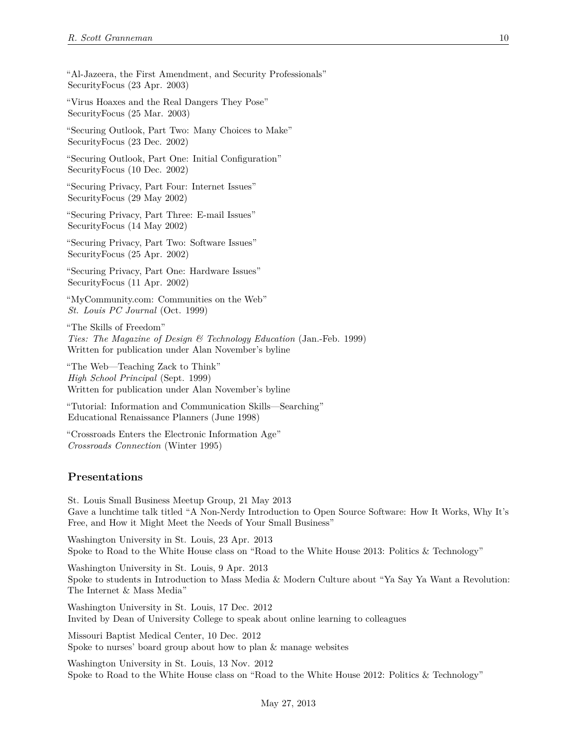"Al-Jazeera, the First Amendment, and Security Professionals" SecurityFocus (23 Apr. 2003)

"Virus Hoaxes and the Real Dangers They Pose" SecurityFocus (25 Mar. 2003)

"Securing Outlook, Part Two: Many Choices to Make" SecurityFocus (23 Dec. 2002)

"Securing Outlook, Part One: Initial Configuration" SecurityFocus (10 Dec. 2002)

"Securing Privacy, Part Four: Internet Issues" SecurityFocus (29 May 2002)

"Securing Privacy, Part Three: E-mail Issues" SecurityFocus (14 May 2002)

"Securing Privacy, Part Two: Software Issues" SecurityFocus (25 Apr. 2002)

"Securing Privacy, Part One: Hardware Issues" SecurityFocus (11 Apr. 2002)

"MyCommunity.com: Communities on the Web" *St. Louis PC Journal* (Oct. 1999)

"The Skills of Freedom" *Ties: The Magazine of Design & Technology Education* (Jan.-Feb. 1999) Written for publication under Alan November's byline

"The Web—Teaching Zack to Think" *High School Principal* (Sept. 1999) Written for publication under Alan November's byline

"Tutorial: Information and Communication Skills—Searching" Educational Renaissance Planners (June 1998)

"Crossroads Enters the Electronic Information Age" *Crossroads Connection* (Winter 1995)

#### **Presentations**

St. Louis Small Business Meetup Group, 21 May 2013 Gave a lunchtime talk titled "A Non-Nerdy Introduction to Open Source Software: How It Works, Why It's Free, and How it Might Meet the Needs of Your Small Business"

Washington University in St. Louis, 23 Apr. 2013 Spoke to Road to the White House class on "Road to the White House 2013: Politics & Technology"

Washington University in St. Louis, 9 Apr. 2013 Spoke to students in Introduction to Mass Media & Modern Culture about "Ya Say Ya Want a Revolution: The Internet & Mass Media"

Washington University in St. Louis, 17 Dec. 2012 Invited by Dean of University College to speak about online learning to colleagues

Missouri Baptist Medical Center, 10 Dec. 2012 Spoke to nurses' board group about how to plan & manage websites

Washington University in St. Louis, 13 Nov. 2012 Spoke to Road to the White House class on "Road to the White House 2012: Politics & Technology"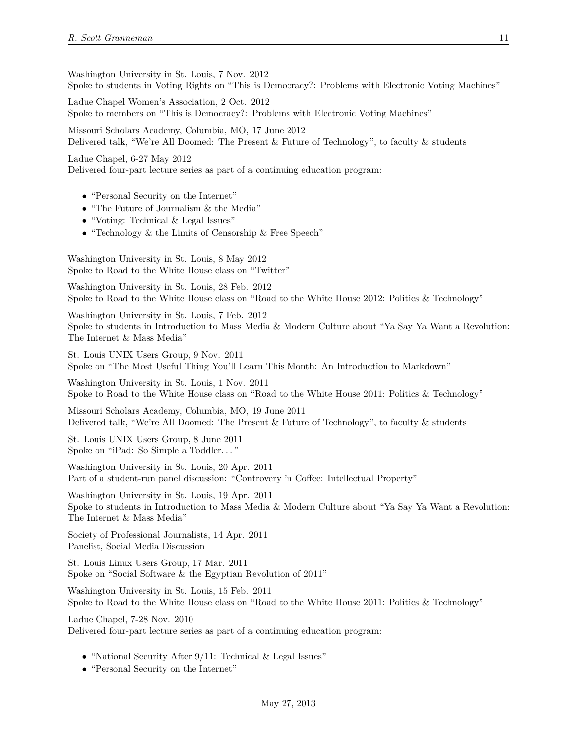Washington University in St. Louis, 7 Nov. 2012 Spoke to students in Voting Rights on "This is Democracy?: Problems with Electronic Voting Machines"

Ladue Chapel Women's Association, 2 Oct. 2012 Spoke to members on "This is Democracy?: Problems with Electronic Voting Machines"

Missouri Scholars Academy, Columbia, MO, 17 June 2012 Delivered talk, "We're All Doomed: The Present & Future of Technology", to faculty & students

Ladue Chapel, 6-27 May 2012 Delivered four-part lecture series as part of a continuing education program:

- "Personal Security on the Internet"
- "The Future of Journalism & the Media"
- "Voting: Technical & Legal Issues"
- "Technology & the Limits of Censorship & Free Speech"

Washington University in St. Louis, 8 May 2012 Spoke to Road to the White House class on "Twitter"

Washington University in St. Louis, 28 Feb. 2012 Spoke to Road to the White House class on "Road to the White House 2012: Politics & Technology"

Washington University in St. Louis, 7 Feb. 2012 Spoke to students in Introduction to Mass Media & Modern Culture about "Ya Say Ya Want a Revolution: The Internet & Mass Media"

St. Louis UNIX Users Group, 9 Nov. 2011 Spoke on "The Most Useful Thing You'll Learn This Month: An Introduction to Markdown"

Washington University in St. Louis, 1 Nov. 2011 Spoke to Road to the White House class on "Road to the White House 2011: Politics & Technology"

Missouri Scholars Academy, Columbia, MO, 19 June 2011 Delivered talk, "We're All Doomed: The Present & Future of Technology", to faculty & students

St. Louis UNIX Users Group, 8 June 2011 Spoke on "iPad: So Simple a Toddler. . . "

Washington University in St. Louis, 20 Apr. 2011 Part of a student-run panel discussion: "Controvery 'n Coffee: Intellectual Property"

Washington University in St. Louis, 19 Apr. 2011 Spoke to students in Introduction to Mass Media & Modern Culture about "Ya Say Ya Want a Revolution: The Internet & Mass Media"

Society of Professional Journalists, 14 Apr. 2011 Panelist, Social Media Discussion

St. Louis Linux Users Group, 17 Mar. 2011 Spoke on "Social Software & the Egyptian Revolution of 2011"

Washington University in St. Louis, 15 Feb. 2011 Spoke to Road to the White House class on "Road to the White House 2011: Politics & Technology"

Ladue Chapel, 7-28 Nov. 2010 Delivered four-part lecture series as part of a continuing education program:

- "National Security After 9/11: Technical & Legal Issues"
- "Personal Security on the Internet"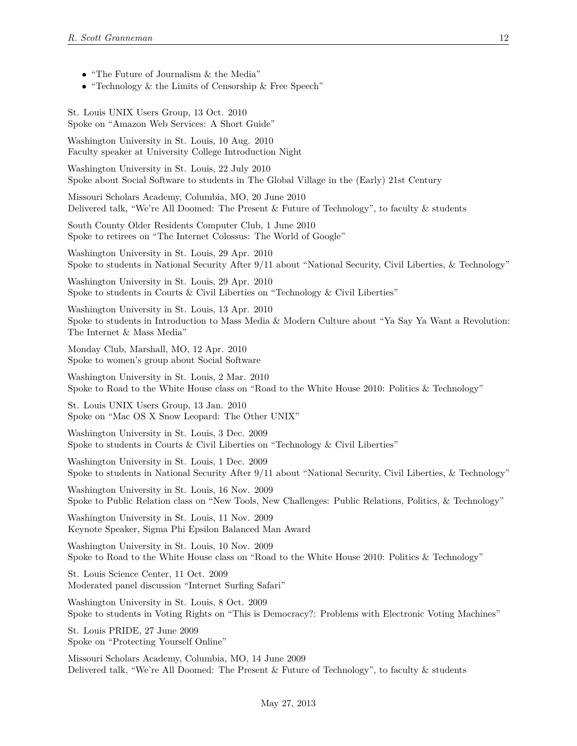- "The Future of Journalism & the Media"
- "Technology & the Limits of Censorship & Free Speech"

St. Louis UNIX Users Group, 13 Oct. 2010 Spoke on "Amazon Web Services: A Short Guide"

Washington University in St. Louis, 10 Aug. 2010 Faculty speaker at University College Introduction Night

Washington University in St. Louis, 22 July 2010 Spoke about Social Software to students in The Global Village in the (Early) 21st Century

Missouri Scholars Academy, Columbia, MO, 20 June 2010 Delivered talk, "We're All Doomed: The Present & Future of Technology", to faculty & students

South County Older Residents Computer Club, 1 June 2010 Spoke to retirees on "The Internet Colossus: The World of Google"

Washington University in St. Louis, 29 Apr. 2010 Spoke to students in National Security After 9/11 about "National Security, Civil Liberties, & Technology"

Washington University in St. Louis, 29 Apr. 2010 Spoke to students in Courts  $\&$  Civil Liberties on "Technology  $\&$  Civil Liberties"

Washington University in St. Louis, 13 Apr. 2010 Spoke to students in Introduction to Mass Media & Modern Culture about "Ya Say Ya Want a Revolution: The Internet & Mass Media"

Monday Club, Marshall, MO, 12 Apr. 2010 Spoke to women's group about Social Software

Washington University in St. Louis, 2 Mar. 2010 Spoke to Road to the White House class on "Road to the White House 2010: Politics & Technology"

St. Louis UNIX Users Group, 13 Jan. 2010 Spoke on "Mac OS X Snow Leopard: The Other UNIX"

Washington University in St. Louis, 3 Dec. 2009 Spoke to students in Courts & Civil Liberties on "Technology & Civil Liberties"

Washington University in St. Louis, 1 Dec. 2009 Spoke to students in National Security After 9/11 about "National Security, Civil Liberties, & Technology"

Washington University in St. Louis, 16 Nov. 2009 Spoke to Public Relation class on "New Tools, New Challenges: Public Relations, Politics, & Technology"

Washington University in St. Louis, 11 Nov. 2009 Keynote Speaker, Sigma Phi Epsilon Balanced Man Award

Washington University in St. Louis, 10 Nov. 2009 Spoke to Road to the White House class on "Road to the White House 2010: Politics & Technology"

St. Louis Science Center, 11 Oct. 2009 Moderated panel discussion "Internet Surfing Safari"

Washington University in St. Louis, 8 Oct. 2009 Spoke to students in Voting Rights on "This is Democracy?: Problems with Electronic Voting Machines"

St. Louis PRIDE, 27 June 2009 Spoke on "Protecting Yourself Online"

Missouri Scholars Academy, Columbia, MO, 14 June 2009 Delivered talk, "We're All Doomed: The Present & Future of Technology", to faculty & students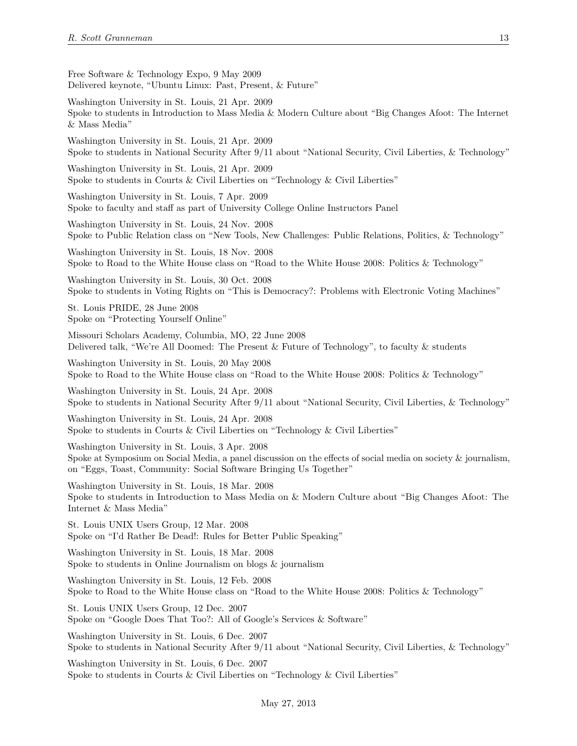Free Software & Technology Expo, 9 May 2009 Delivered keynote, "Ubuntu Linux: Past, Present, & Future"

Washington University in St. Louis, 21 Apr. 2009 Spoke to students in Introduction to Mass Media & Modern Culture about "Big Changes Afoot: The Internet & Mass Media"

Washington University in St. Louis, 21 Apr. 2009 Spoke to students in National Security After 9/11 about "National Security, Civil Liberties, & Technology"

Washington University in St. Louis, 21 Apr. 2009 Spoke to students in Courts & Civil Liberties on "Technology & Civil Liberties"

Washington University in St. Louis, 7 Apr. 2009 Spoke to faculty and staff as part of University College Online Instructors Panel

Washington University in St. Louis, 24 Nov. 2008 Spoke to Public Relation class on "New Tools, New Challenges: Public Relations, Politics, & Technology"

Washington University in St. Louis, 18 Nov. 2008 Spoke to Road to the White House class on "Road to the White House 2008: Politics & Technology"

Washington University in St. Louis, 30 Oct. 2008 Spoke to students in Voting Rights on "This is Democracy?: Problems with Electronic Voting Machines"

St. Louis PRIDE, 28 June 2008 Spoke on "Protecting Yourself Online"

Missouri Scholars Academy, Columbia, MO, 22 June 2008 Delivered talk, "We're All Doomed: The Present & Future of Technology", to faculty & students

Washington University in St. Louis, 20 May 2008 Spoke to Road to the White House class on "Road to the White House 2008: Politics & Technology"

Washington University in St. Louis, 24 Apr. 2008 Spoke to students in National Security After 9/11 about "National Security, Civil Liberties, & Technology"

Washington University in St. Louis, 24 Apr. 2008 Spoke to students in Courts  $\&$  Civil Liberties on "Technology  $\&$  Civil Liberties"

Washington University in St. Louis, 3 Apr. 2008 Spoke at Symposium on Social Media, a panel discussion on the effects of social media on society & journalism, on "Eggs, Toast, Community: Social Software Bringing Us Together"

Washington University in St. Louis, 18 Mar. 2008 Spoke to students in Introduction to Mass Media on & Modern Culture about "Big Changes Afoot: The Internet & Mass Media"

St. Louis UNIX Users Group, 12 Mar. 2008 Spoke on "I'd Rather Be Dead!: Rules for Better Public Speaking"

Washington University in St. Louis, 18 Mar. 2008 Spoke to students in Online Journalism on blogs & journalism

Washington University in St. Louis, 12 Feb. 2008 Spoke to Road to the White House class on "Road to the White House 2008: Politics & Technology"

St. Louis UNIX Users Group, 12 Dec. 2007 Spoke on "Google Does That Too?: All of Google's Services & Software"

Washington University in St. Louis, 6 Dec. 2007 Spoke to students in National Security After 9/11 about "National Security, Civil Liberties, & Technology"

Washington University in St. Louis, 6 Dec. 2007 Spoke to students in Courts & Civil Liberties on "Technology & Civil Liberties"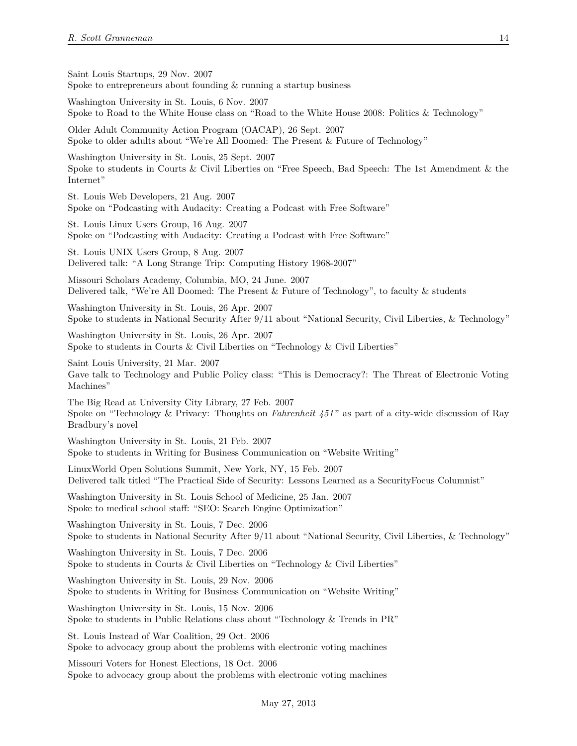Saint Louis Startups, 29 Nov. 2007 Spoke to entrepreneurs about founding  $&$  running a startup business

Washington University in St. Louis, 6 Nov. 2007 Spoke to Road to the White House class on "Road to the White House 2008: Politics & Technology"

Older Adult Community Action Program (OACAP), 26 Sept. 2007 Spoke to older adults about "We're All Doomed: The Present & Future of Technology"

Washington University in St. Louis, 25 Sept. 2007 Spoke to students in Courts & Civil Liberties on "Free Speech, Bad Speech: The 1st Amendment & the Internet"

St. Louis Web Developers, 21 Aug. 2007 Spoke on "Podcasting with Audacity: Creating a Podcast with Free Software"

St. Louis Linux Users Group, 16 Aug. 2007 Spoke on "Podcasting with Audacity: Creating a Podcast with Free Software"

St. Louis UNIX Users Group, 8 Aug. 2007 Delivered talk: "A Long Strange Trip: Computing History 1968-2007"

Missouri Scholars Academy, Columbia, MO, 24 June. 2007 Delivered talk, "We're All Doomed: The Present & Future of Technology", to faculty & students

Washington University in St. Louis, 26 Apr. 2007 Spoke to students in National Security After 9/11 about "National Security, Civil Liberties, & Technology"

Washington University in St. Louis, 26 Apr. 2007 Spoke to students in Courts  $\&$  Civil Liberties on "Technology  $\&$  Civil Liberties"

Saint Louis University, 21 Mar. 2007 Gave talk to Technology and Public Policy class: "This is Democracy?: The Threat of Electronic Voting Machines"

The Big Read at University City Library, 27 Feb. 2007 Spoke on "Technology & Privacy: Thoughts on *Fahrenheit 451* " as part of a city-wide discussion of Ray Bradbury's novel

Washington University in St. Louis, 21 Feb. 2007 Spoke to students in Writing for Business Communication on "Website Writing"

LinuxWorld Open Solutions Summit, New York, NY, 15 Feb. 2007 Delivered talk titled "The Practical Side of Security: Lessons Learned as a SecurityFocus Columnist"

Washington University in St. Louis School of Medicine, 25 Jan. 2007 Spoke to medical school staff: "SEO: Search Engine Optimization"

Washington University in St. Louis, 7 Dec. 2006 Spoke to students in National Security After 9/11 about "National Security, Civil Liberties, & Technology"

Washington University in St. Louis, 7 Dec. 2006 Spoke to students in Courts & Civil Liberties on "Technology & Civil Liberties"

Washington University in St. Louis, 29 Nov. 2006 Spoke to students in Writing for Business Communication on "Website Writing"

Washington University in St. Louis, 15 Nov. 2006 Spoke to students in Public Relations class about "Technology & Trends in PR"

St. Louis Instead of War Coalition, 29 Oct. 2006 Spoke to advocacy group about the problems with electronic voting machines

Missouri Voters for Honest Elections, 18 Oct. 2006 Spoke to advocacy group about the problems with electronic voting machines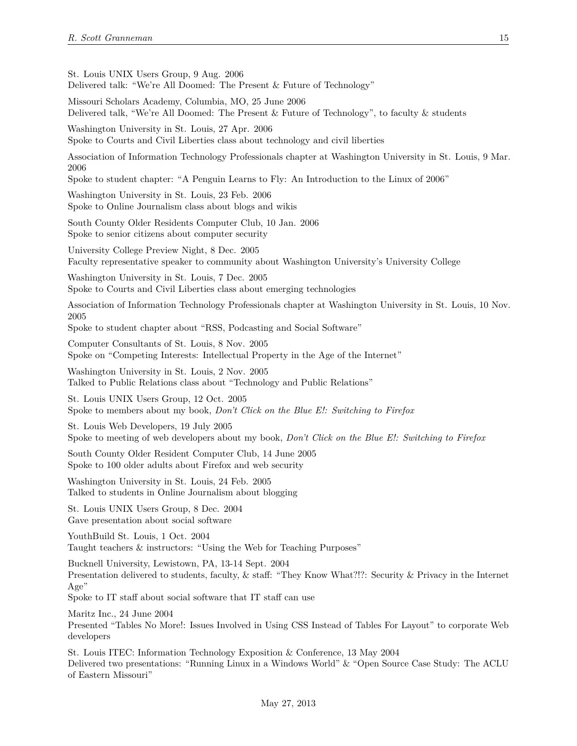St. Louis UNIX Users Group, 9 Aug. 2006

Delivered talk: "We're All Doomed: The Present & Future of Technology"

Missouri Scholars Academy, Columbia, MO, 25 June 2006 Delivered talk, "We're All Doomed: The Present & Future of Technology", to faculty & students

Washington University in St. Louis, 27 Apr. 2006 Spoke to Courts and Civil Liberties class about technology and civil liberties

Association of Information Technology Professionals chapter at Washington University in St. Louis, 9 Mar. 2006

Spoke to student chapter: "A Penguin Learns to Fly: An Introduction to the Linux of 2006"

Washington University in St. Louis, 23 Feb. 2006 Spoke to Online Journalism class about blogs and wikis

South County Older Residents Computer Club, 10 Jan. 2006 Spoke to senior citizens about computer security

University College Preview Night, 8 Dec. 2005 Faculty representative speaker to community about Washington University's University College

Washington University in St. Louis, 7 Dec. 2005 Spoke to Courts and Civil Liberties class about emerging technologies

Association of Information Technology Professionals chapter at Washington University in St. Louis, 10 Nov. 2005

Spoke to student chapter about "RSS, Podcasting and Social Software"

Computer Consultants of St. Louis, 8 Nov. 2005 Spoke on "Competing Interests: Intellectual Property in the Age of the Internet"

Washington University in St. Louis, 2 Nov. 2005 Talked to Public Relations class about "Technology and Public Relations"

St. Louis UNIX Users Group, 12 Oct. 2005 Spoke to members about my book, *Don't Click on the Blue E!: Switching to Firefox*

St. Louis Web Developers, 19 July 2005 Spoke to meeting of web developers about my book, *Don't Click on the Blue E!: Switching to Firefox*

South County Older Resident Computer Club, 14 June 2005 Spoke to 100 older adults about Firefox and web security

Washington University in St. Louis, 24 Feb. 2005 Talked to students in Online Journalism about blogging

St. Louis UNIX Users Group, 8 Dec. 2004 Gave presentation about social software

YouthBuild St. Louis, 1 Oct. 2004 Taught teachers & instructors: "Using the Web for Teaching Purposes"

Bucknell University, Lewistown, PA, 13-14 Sept. 2004

Presentation delivered to students, faculty, & staff: "They Know What?!?: Security & Privacy in the Internet Age"

Spoke to IT staff about social software that IT staff can use

Maritz Inc., 24 June 2004

Presented "Tables No More!: Issues Involved in Using CSS Instead of Tables For Layout" to corporate Web developers

St. Louis ITEC: Information Technology Exposition & Conference, 13 May 2004 Delivered two presentations: "Running Linux in a Windows World" & "Open Source Case Study: The ACLU of Eastern Missouri"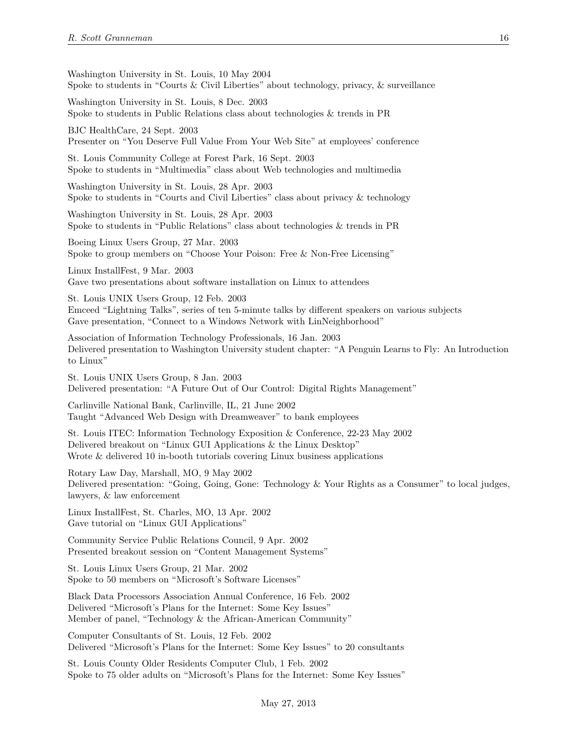Washington University in St. Louis, 10 May 2004 Spoke to students in "Courts & Civil Liberties" about technology, privacy, & surveillance

Washington University in St. Louis, 8 Dec. 2003 Spoke to students in Public Relations class about technologies & trends in PR

BJC HealthCare, 24 Sept. 2003 Presenter on "You Deserve Full Value From Your Web Site" at employees' conference

St. Louis Community College at Forest Park, 16 Sept. 2003 Spoke to students in "Multimedia" class about Web technologies and multimedia

Washington University in St. Louis, 28 Apr. 2003 Spoke to students in "Courts and Civil Liberties" class about privacy & technology

Washington University in St. Louis, 28 Apr. 2003 Spoke to students in "Public Relations" class about technologies & trends in PR

Boeing Linux Users Group, 27 Mar. 2003 Spoke to group members on "Choose Your Poison: Free & Non-Free Licensing"

Linux InstallFest, 9 Mar. 2003 Gave two presentations about software installation on Linux to attendees

St. Louis UNIX Users Group, 12 Feb. 2003 Emceed "Lightning Talks", series of ten 5-minute talks by different speakers on various subjects Gave presentation, "Connect to a Windows Network with LinNeighborhood"

Association of Information Technology Professionals, 16 Jan. 2003 Delivered presentation to Washington University student chapter: "A Penguin Learns to Fly: An Introduction to Linux"

St. Louis UNIX Users Group, 8 Jan. 2003 Delivered presentation: "A Future Out of Our Control: Digital Rights Management"

Carlinville National Bank, Carlinville, IL, 21 June 2002 Taught "Advanced Web Design with Dreamweaver" to bank employees

St. Louis ITEC: Information Technology Exposition & Conference, 22-23 May 2002 Delivered breakout on "Linux GUI Applications & the Linux Desktop" Wrote & delivered 10 in-booth tutorials covering Linux business applications

Rotary Law Day, Marshall, MO, 9 May 2002 Delivered presentation: "Going, Going, Gone: Technology & Your Rights as a Consumer" to local judges, lawyers, & law enforcement

Linux InstallFest, St. Charles, MO, 13 Apr. 2002 Gave tutorial on "Linux GUI Applications"

Community Service Public Relations Council, 9 Apr. 2002 Presented breakout session on "Content Management Systems"

St. Louis Linux Users Group, 21 Mar. 2002 Spoke to 50 members on "Microsoft's Software Licenses"

Black Data Processors Association Annual Conference, 16 Feb. 2002 Delivered "Microsoft's Plans for the Internet: Some Key Issues" Member of panel, "Technology & the African-American Community"

Computer Consultants of St. Louis, 12 Feb. 2002 Delivered "Microsoft's Plans for the Internet: Some Key Issues" to 20 consultants

St. Louis County Older Residents Computer Club, 1 Feb. 2002 Spoke to 75 older adults on "Microsoft's Plans for the Internet: Some Key Issues"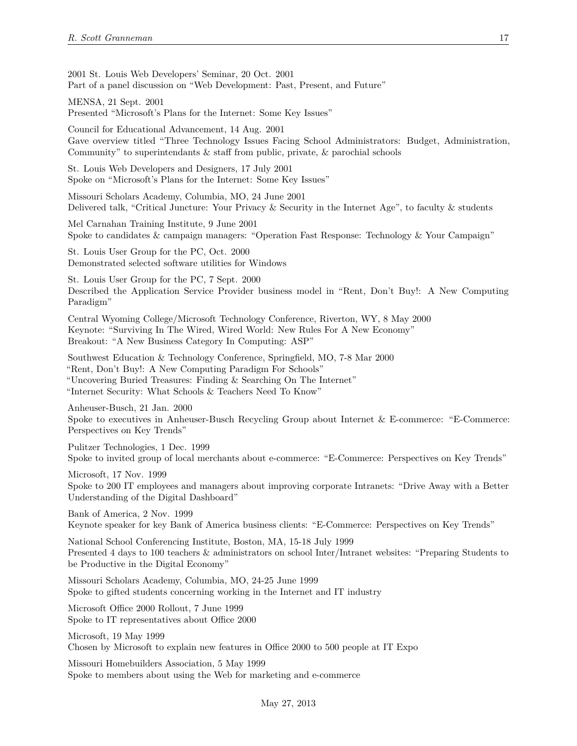2001 St. Louis Web Developers' Seminar, 20 Oct. 2001 Part of a panel discussion on "Web Development: Past, Present, and Future"

MENSA, 21 Sept. 2001 Presented "Microsoft's Plans for the Internet: Some Key Issues"

Council for Educational Advancement, 14 Aug. 2001 Gave overview titled "Three Technology Issues Facing School Administrators: Budget, Administration, Community" to superintendants & staff from public, private, & parochial schools

St. Louis Web Developers and Designers, 17 July 2001 Spoke on "Microsoft's Plans for the Internet: Some Key Issues"

Missouri Scholars Academy, Columbia, MO, 24 June 2001 Delivered talk, "Critical Juncture: Your Privacy & Security in the Internet Age", to faculty & students

Mel Carnahan Training Institute, 9 June 2001 Spoke to candidates & campaign managers: "Operation Fast Response: Technology & Your Campaign"

St. Louis User Group for the PC, Oct. 2000 Demonstrated selected software utilities for Windows

St. Louis User Group for the PC, 7 Sept. 2000 Described the Application Service Provider business model in "Rent, Don't Buy!: A New Computing Paradigm"

Central Wyoming College/Microsoft Technology Conference, Riverton, WY, 8 May 2000 Keynote: "Surviving In The Wired, Wired World: New Rules For A New Economy" Breakout: "A New Business Category In Computing: ASP"

Southwest Education & Technology Conference, Springfield, MO, 7-8 Mar 2000 "Rent, Don't Buy!: A New Computing Paradigm For Schools" "Uncovering Buried Treasures: Finding & Searching On The Internet" "Internet Security: What Schools & Teachers Need To Know"

Anheuser-Busch, 21 Jan. 2000

Spoke to executives in Anheuser-Busch Recycling Group about Internet & E-commerce: "E-Commerce: Perspectives on Key Trends"

Pulitzer Technologies, 1 Dec. 1999 Spoke to invited group of local merchants about e-commerce: "E-Commerce: Perspectives on Key Trends"

Microsoft, 17 Nov. 1999 Spoke to 200 IT employees and managers about improving corporate Intranets: "Drive Away with a Better Understanding of the Digital Dashboard"

Bank of America, 2 Nov. 1999 Keynote speaker for key Bank of America business clients: "E-Commerce: Perspectives on Key Trends"

National School Conferencing Institute, Boston, MA, 15-18 July 1999 Presented 4 days to 100 teachers & administrators on school Inter/Intranet websites: "Preparing Students to be Productive in the Digital Economy"

Missouri Scholars Academy, Columbia, MO, 24-25 June 1999 Spoke to gifted students concerning working in the Internet and IT industry

Microsoft Office 2000 Rollout, 7 June 1999 Spoke to IT representatives about Office 2000

Microsoft, 19 May 1999 Chosen by Microsoft to explain new features in Office 2000 to 500 people at IT Expo

Missouri Homebuilders Association, 5 May 1999 Spoke to members about using the Web for marketing and e-commerce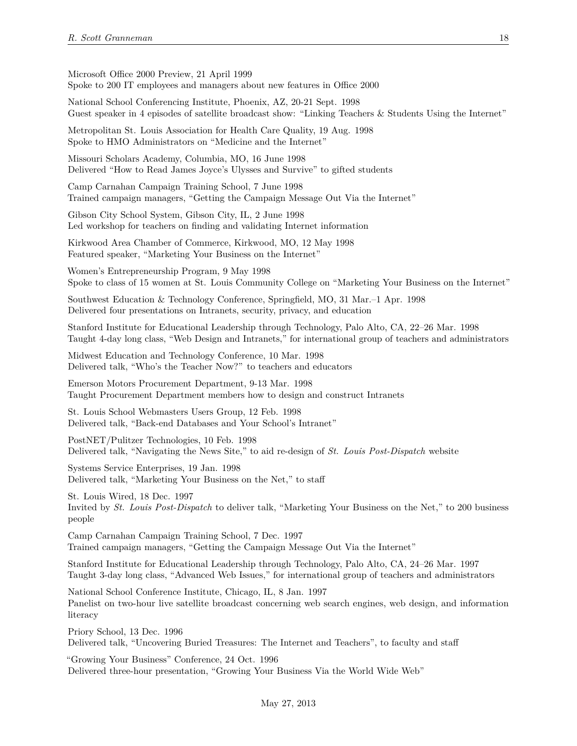Microsoft Office 2000 Preview, 21 April 1999 Spoke to 200 IT employees and managers about new features in Office 2000

National School Conferencing Institute, Phoenix, AZ, 20-21 Sept. 1998 Guest speaker in 4 episodes of satellite broadcast show: "Linking Teachers & Students Using the Internet"

Metropolitan St. Louis Association for Health Care Quality, 19 Aug. 1998 Spoke to HMO Administrators on "Medicine and the Internet"

Missouri Scholars Academy, Columbia, MO, 16 June 1998 Delivered "How to Read James Joyce's Ulysses and Survive" to gifted students

Camp Carnahan Campaign Training School, 7 June 1998 Trained campaign managers, "Getting the Campaign Message Out Via the Internet"

Gibson City School System, Gibson City, IL, 2 June 1998 Led workshop for teachers on finding and validating Internet information

Kirkwood Area Chamber of Commerce, Kirkwood, MO, 12 May 1998 Featured speaker, "Marketing Your Business on the Internet"

Women's Entrepreneurship Program, 9 May 1998 Spoke to class of 15 women at St. Louis Community College on "Marketing Your Business on the Internet"

Southwest Education & Technology Conference, Springfield, MO, 31 Mar.–1 Apr. 1998 Delivered four presentations on Intranets, security, privacy, and education

Stanford Institute for Educational Leadership through Technology, Palo Alto, CA, 22–26 Mar. 1998 Taught 4-day long class, "Web Design and Intranets," for international group of teachers and administrators

Midwest Education and Technology Conference, 10 Mar. 1998 Delivered talk, "Who's the Teacher Now?" to teachers and educators

Emerson Motors Procurement Department, 9-13 Mar. 1998 Taught Procurement Department members how to design and construct Intranets

St. Louis School Webmasters Users Group, 12 Feb. 1998 Delivered talk, "Back-end Databases and Your School's Intranet"

PostNET/Pulitzer Technologies, 10 Feb. 1998 Delivered talk, "Navigating the News Site," to aid re-design of *St. Louis Post-Dispatch* website

Systems Service Enterprises, 19 Jan. 1998 Delivered talk, "Marketing Your Business on the Net," to staff

St. Louis Wired, 18 Dec. 1997 Invited by *St. Louis Post-Dispatch* to deliver talk, "Marketing Your Business on the Net," to 200 business people

Camp Carnahan Campaign Training School, 7 Dec. 1997 Trained campaign managers, "Getting the Campaign Message Out Via the Internet"

Stanford Institute for Educational Leadership through Technology, Palo Alto, CA, 24–26 Mar. 1997 Taught 3-day long class, "Advanced Web Issues," for international group of teachers and administrators

National School Conference Institute, Chicago, IL, 8 Jan. 1997 Panelist on two-hour live satellite broadcast concerning web search engines, web design, and information literacy

Priory School, 13 Dec. 1996 Delivered talk, "Uncovering Buried Treasures: The Internet and Teachers", to faculty and staff

"Growing Your Business" Conference, 24 Oct. 1996 Delivered three-hour presentation, "Growing Your Business Via the World Wide Web"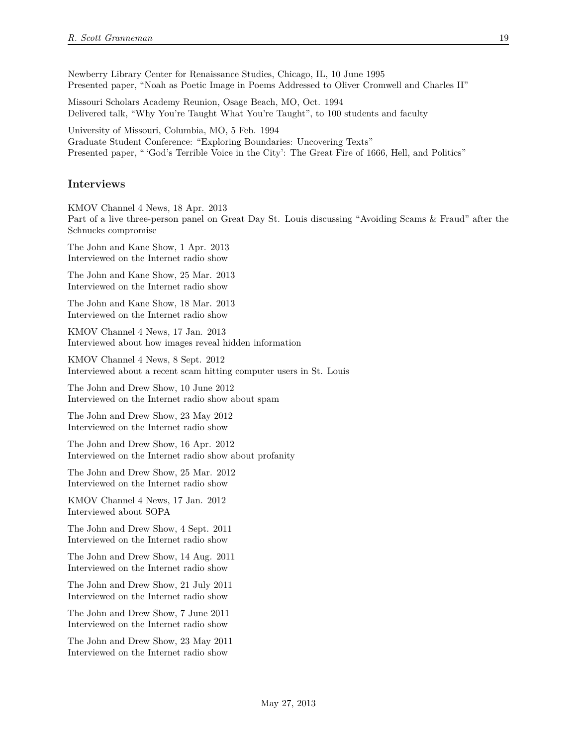Newberry Library Center for Renaissance Studies, Chicago, IL, 10 June 1995 Presented paper, "Noah as Poetic Image in Poems Addressed to Oliver Cromwell and Charles II"

Missouri Scholars Academy Reunion, Osage Beach, MO, Oct. 1994 Delivered talk, "Why You're Taught What You're Taught", to 100 students and faculty

University of Missouri, Columbia, MO, 5 Feb. 1994 Graduate Student Conference: "Exploring Boundaries: Uncovering Texts" Presented paper, " 'God's Terrible Voice in the City': The Great Fire of 1666, Hell, and Politics"

#### **Interviews**

KMOV Channel 4 News, 18 Apr. 2013 Part of a live three-person panel on Great Day St. Louis discussing "Avoiding Scams & Fraud" after the Schnucks compromise

The John and Kane Show, 1 Apr. 2013 Interviewed on the Internet radio show

The John and Kane Show, 25 Mar. 2013 Interviewed on the Internet radio show

The John and Kane Show, 18 Mar. 2013 Interviewed on the Internet radio show

KMOV Channel 4 News, 17 Jan. 2013 Interviewed about how images reveal hidden information

KMOV Channel 4 News, 8 Sept. 2012 Interviewed about a recent scam hitting computer users in St. Louis

The John and Drew Show, 10 June 2012 Interviewed on the Internet radio show about spam

The John and Drew Show, 23 May 2012 Interviewed on the Internet radio show

The John and Drew Show, 16 Apr. 2012 Interviewed on the Internet radio show about profanity

The John and Drew Show, 25 Mar. 2012 Interviewed on the Internet radio show

KMOV Channel 4 News, 17 Jan. 2012 Interviewed about SOPA

The John and Drew Show, 4 Sept. 2011 Interviewed on the Internet radio show

The John and Drew Show, 14 Aug. 2011 Interviewed on the Internet radio show

The John and Drew Show, 21 July 2011 Interviewed on the Internet radio show

The John and Drew Show, 7 June 2011 Interviewed on the Internet radio show

The John and Drew Show, 23 May 2011 Interviewed on the Internet radio show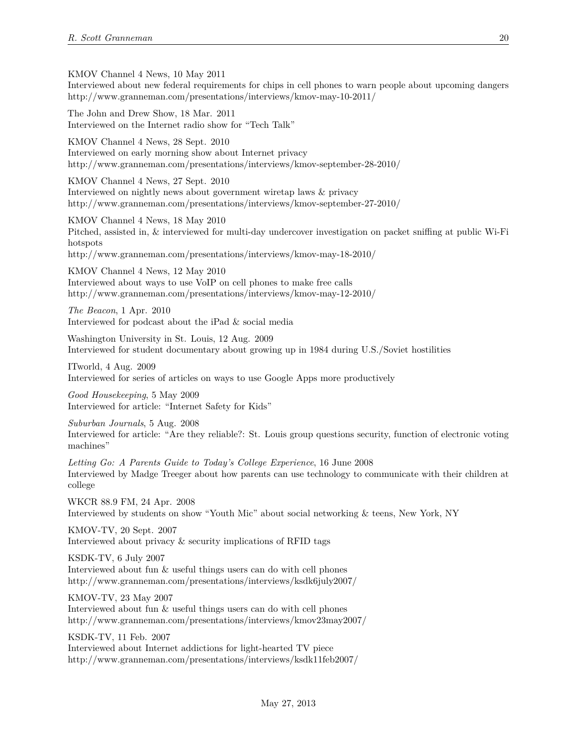KMOV Channel 4 News, 10 May 2011

Interviewed about new federal requirements for chips in cell phones to warn people about upcoming dangers http://www.granneman.com/presentations/interviews/kmov-may-10-2011/

The John and Drew Show, 18 Mar. 2011 Interviewed on the Internet radio show for "Tech Talk"

KMOV Channel 4 News, 28 Sept. 2010 Interviewed on early morning show about Internet privacy http://www.granneman.com/presentations/interviews/kmov-september-28-2010/

KMOV Channel 4 News, 27 Sept. 2010 Interviewed on nightly news about government wiretap laws & privacy http://www.granneman.com/presentations/interviews/kmov-september-27-2010/

KMOV Channel 4 News, 18 May 2010 Pitched, assisted in, & interviewed for multi-day undercover investigation on packet sniffing at public Wi-Fi hotspots http://www.granneman.com/presentations/interviews/kmov-may-18-2010/

KMOV Channel 4 News, 12 May 2010

Interviewed about ways to use VoIP on cell phones to make free calls http://www.granneman.com/presentations/interviews/kmov-may-12-2010/

*The Beacon*, 1 Apr. 2010 Interviewed for podcast about the iPad & social media

Washington University in St. Louis, 12 Aug. 2009 Interviewed for student documentary about growing up in 1984 during U.S./Soviet hostilities

ITworld, 4 Aug. 2009 Interviewed for series of articles on ways to use Google Apps more productively

*Good Housekeeping*, 5 May 2009 Interviewed for article: "Internet Safety for Kids"

*Suburban Journals*, 5 Aug. 2008 Interviewed for article: "Are they reliable?: St. Louis group questions security, function of electronic voting machines"

*Letting Go: A Parents Guide to Today's College Experience*, 16 June 2008 Interviewed by Madge Treeger about how parents can use technology to communicate with their children at college

WKCR 88.9 FM, 24 Apr. 2008 Interviewed by students on show "Youth Mic" about social networking & teens, New York, NY

KMOV-TV, 20 Sept. 2007 Interviewed about privacy & security implications of RFID tags

KSDK-TV, 6 July 2007 Interviewed about fun & useful things users can do with cell phones http://www.granneman.com/presentations/interviews/ksdk6july2007/

KMOV-TV, 23 May 2007 Interviewed about fun & useful things users can do with cell phones http://www.granneman.com/presentations/interviews/kmov23may2007/

KSDK-TV, 11 Feb. 2007 Interviewed about Internet addictions for light-hearted TV piece http://www.granneman.com/presentations/interviews/ksdk11feb2007/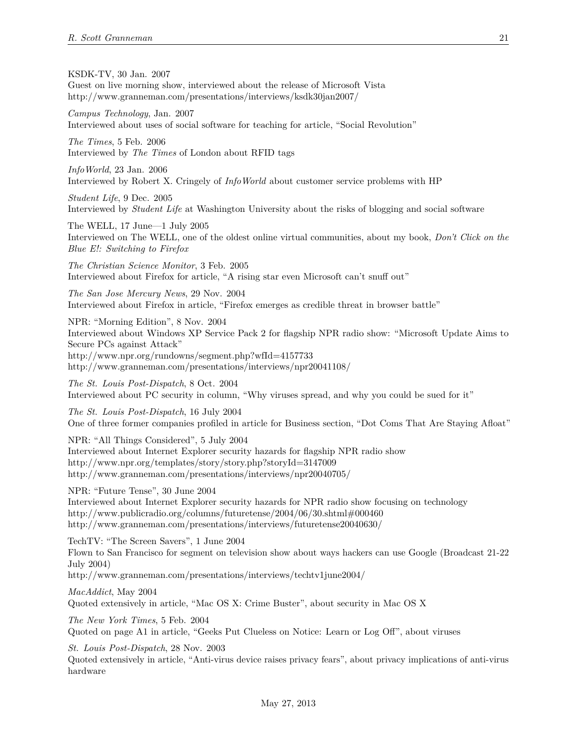KSDK-TV, 30 Jan. 2007

Guest on live morning show, interviewed about the release of Microsoft Vista http://www.granneman.com/presentations/interviews/ksdk30jan2007/

*Campus Technology*, Jan. 2007

Interviewed about uses of social software for teaching for article, "Social Revolution"

*The Times*, 5 Feb. 2006 Interviewed by *The Times* of London about RFID tags

*InfoWorld*, 23 Jan. 2006 Interviewed by Robert X. Cringely of *InfoWorld* about customer service problems with HP

*Student Life*, 9 Dec. 2005 Interviewed by *Student Life* at Washington University about the risks of blogging and social software

The WELL, 17 June—1 July 2005 Interviewed on The WELL, one of the oldest online virtual communities, about my book, *Don't Click on the Blue E!: Switching to Firefox*

*The Christian Science Monitor*, 3 Feb. 2005 Interviewed about Firefox for article, "A rising star even Microsoft can't snuff out"

*The San Jose Mercury News*, 29 Nov. 2004 Interviewed about Firefox in article, "Firefox emerges as credible threat in browser battle"

NPR: "Morning Edition", 8 Nov. 2004 Interviewed about Windows XP Service Pack 2 for flagship NPR radio show: "Microsoft Update Aims to Secure PCs against Attack" http://www.npr.org/rundowns/segment.php?wfId=4157733 http://www.granneman.com/presentations/interviews/npr20041108/

*The St. Louis Post-Dispatch*, 8 Oct. 2004 Interviewed about PC security in column, "Why viruses spread, and why you could be sued for it"

*The St. Louis Post-Dispatch*, 16 July 2004 One of three former companies profiled in article for Business section, "Dot Coms That Are Staying Afloat"

NPR: "All Things Considered", 5 July 2004 Interviewed about Internet Explorer security hazards for flagship NPR radio show http://www.npr.org/templates/story/story.php?storyId=3147009 http://www.granneman.com/presentations/interviews/npr20040705/

NPR: "Future Tense", 30 June 2004 Interviewed about Internet Explorer security hazards for NPR radio show focusing on technology http://www.publicradio.org/columns/futuretense/2004/06/30.shtml#000460 http://www.granneman.com/presentations/interviews/futuretense20040630/

TechTV: "The Screen Savers", 1 June 2004 Flown to San Francisco for segment on television show about ways hackers can use Google (Broadcast 21-22 July 2004) http://www.granneman.com/presentations/interviews/techtv1june2004/

*MacAddict*, May 2004 Quoted extensively in article, "Mac OS X: Crime Buster", about security in Mac OS X

*The New York Times*, 5 Feb. 2004 Quoted on page A1 in article, "Geeks Put Clueless on Notice: Learn or Log Off", about viruses

*St. Louis Post-Dispatch*, 28 Nov. 2003

Quoted extensively in article, "Anti-virus device raises privacy fears", about privacy implications of anti-virus hardware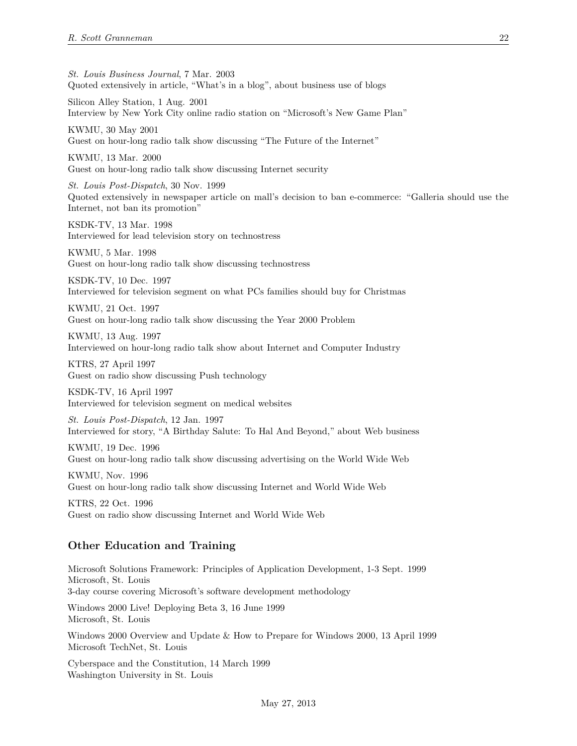*St. Louis Business Journal*, 7 Mar. 2003 Quoted extensively in article, "What's in a blog", about business use of blogs

Silicon Alley Station, 1 Aug. 2001 Interview by New York City online radio station on "Microsoft's New Game Plan"

KWMU, 30 May 2001 Guest on hour-long radio talk show discussing "The Future of the Internet"

KWMU, 13 Mar. 2000 Guest on hour-long radio talk show discussing Internet security

*St. Louis Post-Dispatch*, 30 Nov. 1999 Quoted extensively in newspaper article on mall's decision to ban e-commerce: "Galleria should use the Internet, not ban its promotion"

KSDK-TV, 13 Mar. 1998 Interviewed for lead television story on technostress

KWMU, 5 Mar. 1998 Guest on hour-long radio talk show discussing technostress

KSDK-TV, 10 Dec. 1997 Interviewed for television segment on what PCs families should buy for Christmas

KWMU, 21 Oct. 1997 Guest on hour-long radio talk show discussing the Year 2000 Problem

KWMU, 13 Aug. 1997 Interviewed on hour-long radio talk show about Internet and Computer Industry

KTRS, 27 April 1997 Guest on radio show discussing Push technology

KSDK-TV, 16 April 1997 Interviewed for television segment on medical websites

*St. Louis Post-Dispatch*, 12 Jan. 1997 Interviewed for story, "A Birthday Salute: To Hal And Beyond," about Web business

KWMU, 19 Dec. 1996 Guest on hour-long radio talk show discussing advertising on the World Wide Web

KWMU, Nov. 1996 Guest on hour-long radio talk show discussing Internet and World Wide Web

KTRS, 22 Oct. 1996 Guest on radio show discussing Internet and World Wide Web

# **Other Education and Training**

Microsoft Solutions Framework: Principles of Application Development, 1-3 Sept. 1999 Microsoft, St. Louis 3-day course covering Microsoft's software development methodology Windows 2000 Live! Deploying Beta 3, 16 June 1999 Microsoft, St. Louis

Windows 2000 Overview and Update & How to Prepare for Windows 2000, 13 April 1999 Microsoft TechNet, St. Louis

Cyberspace and the Constitution, 14 March 1999 Washington University in St. Louis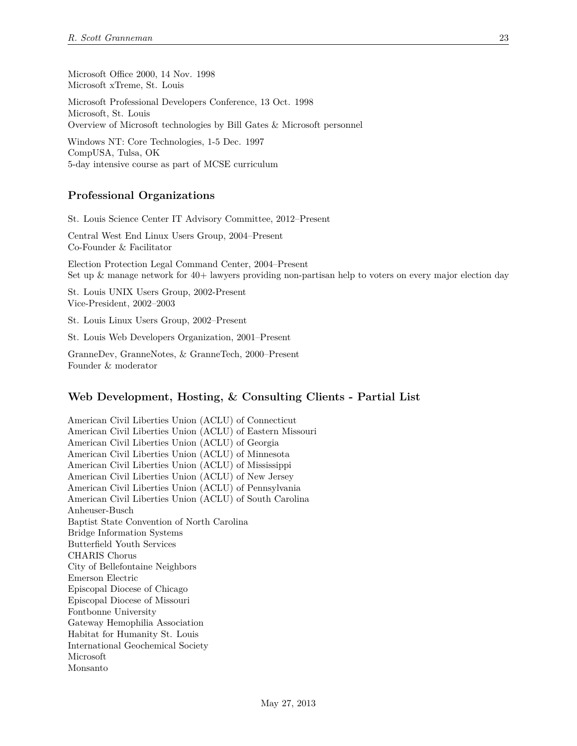Microsoft Office 2000, 14 Nov. 1998 Microsoft xTreme, St. Louis

Microsoft Professional Developers Conference, 13 Oct. 1998 Microsoft, St. Louis Overview of Microsoft technologies by Bill Gates & Microsoft personnel

Windows NT: Core Technologies, 1-5 Dec. 1997 CompUSA, Tulsa, OK 5-day intensive course as part of MCSE curriculum

### **Professional Organizations**

St. Louis Science Center IT Advisory Committee, 2012–Present

Central West End Linux Users Group, 2004–Present Co-Founder & Facilitator

Election Protection Legal Command Center, 2004–Present Set up & manage network for 40+ lawyers providing non-partisan help to voters on every major election day

St. Louis UNIX Users Group, 2002-Present Vice-President, 2002–2003

St. Louis Linux Users Group, 2002–Present

St. Louis Web Developers Organization, 2001–Present

GranneDev, GranneNotes, & GranneTech, 2000–Present Founder & moderator

# **Web Development, Hosting, & Consulting Clients - Partial List**

American Civil Liberties Union (ACLU) of Connecticut American Civil Liberties Union (ACLU) of Eastern Missouri American Civil Liberties Union (ACLU) of Georgia American Civil Liberties Union (ACLU) of Minnesota American Civil Liberties Union (ACLU) of Mississippi American Civil Liberties Union (ACLU) of New Jersey American Civil Liberties Union (ACLU) of Pennsylvania American Civil Liberties Union (ACLU) of South Carolina Anheuser-Busch Baptist State Convention of North Carolina Bridge Information Systems Butterfield Youth Services CHARIS Chorus City of Bellefontaine Neighbors Emerson Electric Episcopal Diocese of Chicago Episcopal Diocese of Missouri Fontbonne University Gateway Hemophilia Association Habitat for Humanity St. Louis International Geochemical Society Microsoft Monsanto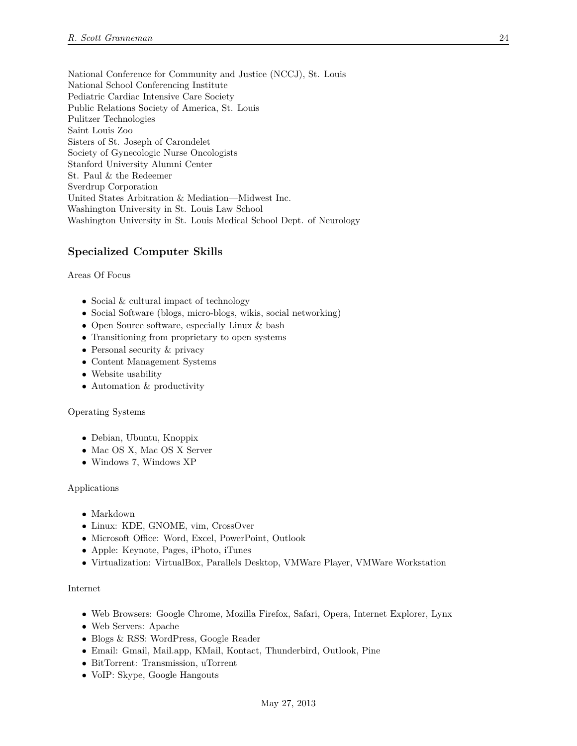National Conference for Community and Justice (NCCJ), St. Louis National School Conferencing Institute Pediatric Cardiac Intensive Care Society Public Relations Society of America, St. Louis Pulitzer Technologies Saint Louis Zoo Sisters of St. Joseph of Carondelet Society of Gynecologic Nurse Oncologists Stanford University Alumni Center St. Paul & the Redeemer Sverdrup Corporation United States Arbitration & Mediation—Midwest Inc. Washington University in St. Louis Law School Washington University in St. Louis Medical School Dept. of Neurology

# **Specialized Computer Skills**

#### Areas Of Focus

- Social & cultural impact of technology
- Social Software (blogs, micro-blogs, wikis, social networking)
- Open Source software, especially Linux & bash
- Transitioning from proprietary to open systems
- Personal security  $&$  privacy
- Content Management Systems
- Website usability
- Automation & productivity

#### Operating Systems

- Debian, Ubuntu, Knoppix
- Mac OS X, Mac OS X Server
- Windows 7, Windows XP

#### Applications

- Markdown
- Linux: KDE, GNOME, vim, CrossOver
- Microsoft Office: Word, Excel, PowerPoint, Outlook
- Apple: Keynote, Pages, iPhoto, iTunes
- Virtualization: VirtualBox, Parallels Desktop, VMWare Player, VMWare Workstation

#### Internet

- Web Browsers: Google Chrome, Mozilla Firefox, Safari, Opera, Internet Explorer, Lynx
- Web Servers: Apache
- Blogs & RSS: WordPress, Google Reader
- Email: Gmail, Mail.app, KMail, Kontact, Thunderbird, Outlook, Pine
- BitTorrent: Transmission, uTorrent
- VoIP: Skype, Google Hangouts